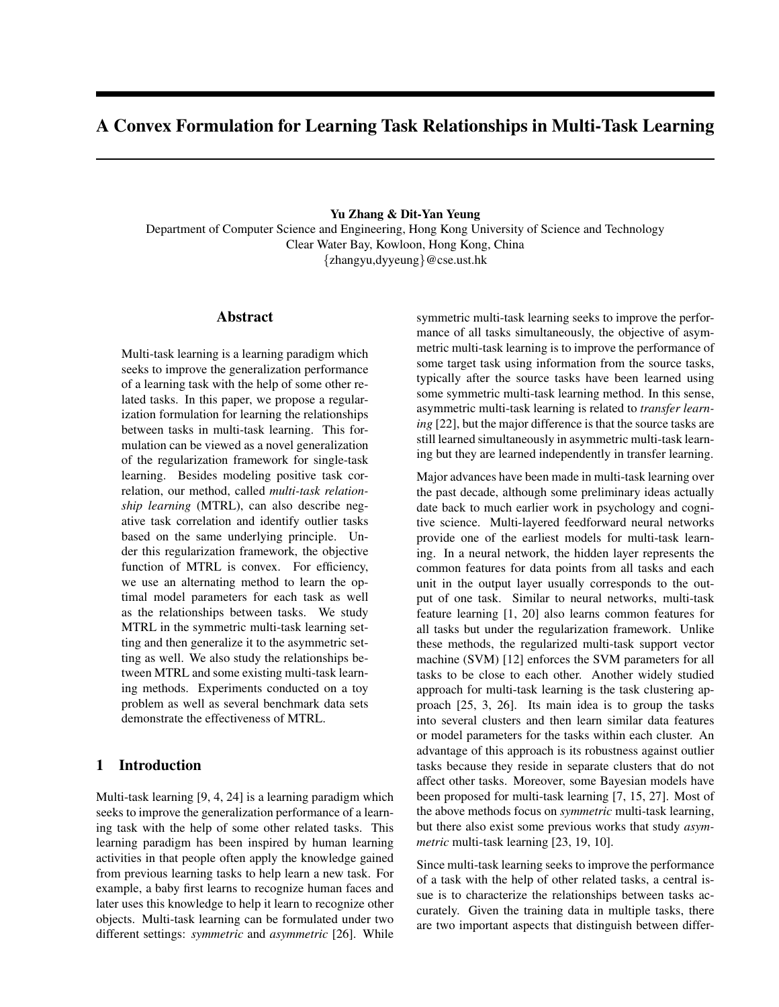# A Convex Formulation for Learning Task Relationships in Multi-Task Learning

### Yu Zhang & Dit-Yan Yeung

Department of Computer Science and Engineering, Hong Kong University of Science and Technology Clear Water Bay, Kowloon, Hong Kong, China {zhangyu,dyyeung}@cse.ust.hk

# Abstract

Multi-task learning is a learning paradigm which seeks to improve the generalization performance of a learning task with the help of some other related tasks. In this paper, we propose a regularization formulation for learning the relationships between tasks in multi-task learning. This formulation can be viewed as a novel generalization of the regularization framework for single-task learning. Besides modeling positive task correlation, our method, called *multi-task relationship learning* (MTRL), can also describe negative task correlation and identify outlier tasks based on the same underlying principle. Under this regularization framework, the objective function of MTRL is convex. For efficiency, we use an alternating method to learn the optimal model parameters for each task as well as the relationships between tasks. We study MTRL in the symmetric multi-task learning setting and then generalize it to the asymmetric setting as well. We also study the relationships between MTRL and some existing multi-task learning methods. Experiments conducted on a toy problem as well as several benchmark data sets demonstrate the effectiveness of MTRL.

# 1 Introduction

Multi-task learning [9, 4, 24] is a learning paradigm which seeks to improve the generalization performance of a learning task with the help of some other related tasks. This learning paradigm has been inspired by human learning activities in that people often apply the knowledge gained from previous learning tasks to help learn a new task. For example, a baby first learns to recognize human faces and later uses this knowledge to help it learn to recognize other objects. Multi-task learning can be formulated under two different settings: *symmetric* and *asymmetric* [26]. While symmetric multi-task learning seeks to improve the performance of all tasks simultaneously, the objective of asymmetric multi-task learning is to improve the performance of some target task using information from the source tasks, typically after the source tasks have been learned using some symmetric multi-task learning method. In this sense, asymmetric multi-task learning is related to *transfer learning* [22], but the major difference is that the source tasks are still learned simultaneously in asymmetric multi-task learning but they are learned independently in transfer learning.

Major advances have been made in multi-task learning over the past decade, although some preliminary ideas actually date back to much earlier work in psychology and cognitive science. Multi-layered feedforward neural networks provide one of the earliest models for multi-task learning. In a neural network, the hidden layer represents the common features for data points from all tasks and each unit in the output layer usually corresponds to the output of one task. Similar to neural networks, multi-task feature learning [1, 20] also learns common features for all tasks but under the regularization framework. Unlike these methods, the regularized multi-task support vector machine (SVM) [12] enforces the SVM parameters for all tasks to be close to each other. Another widely studied approach for multi-task learning is the task clustering approach [25, 3, 26]. Its main idea is to group the tasks into several clusters and then learn similar data features or model parameters for the tasks within each cluster. An advantage of this approach is its robustness against outlier tasks because they reside in separate clusters that do not affect other tasks. Moreover, some Bayesian models have been proposed for multi-task learning [7, 15, 27]. Most of the above methods focus on *symmetric* multi-task learning, but there also exist some previous works that study *asymmetric* multi-task learning [23, 19, 10].

Since multi-task learning seeks to improve the performance of a task with the help of other related tasks, a central issue is to characterize the relationships between tasks accurately. Given the training data in multiple tasks, there are two important aspects that distinguish between differ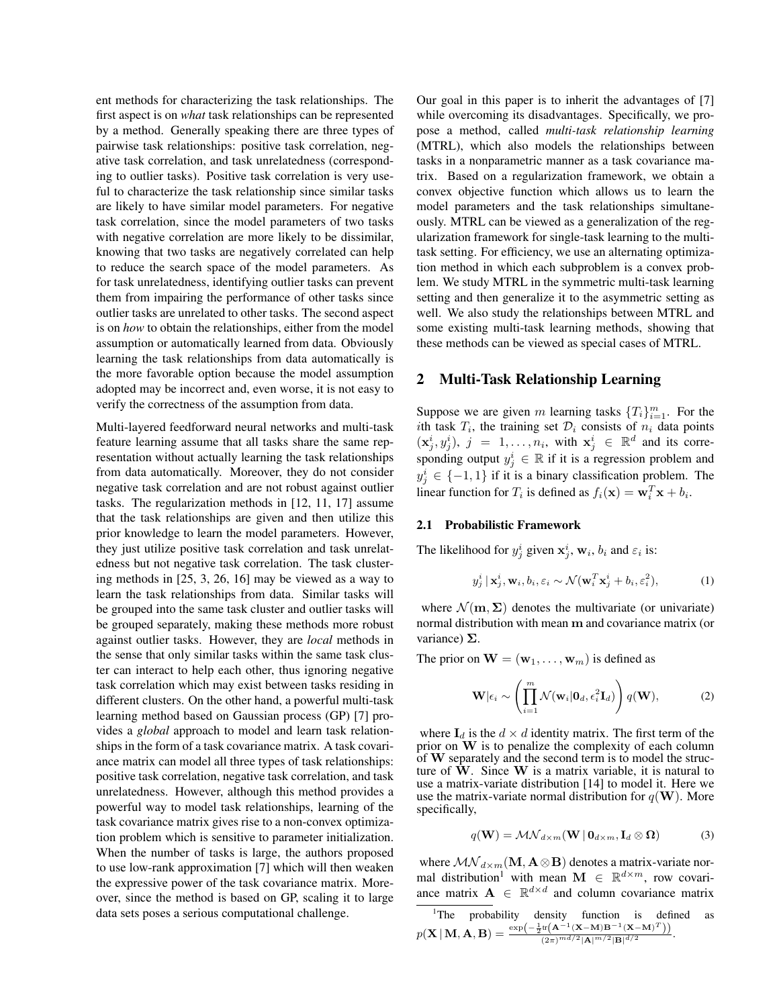ent methods for characterizing the task relationships. The first aspect is on *what* task relationships can be represented by a method. Generally speaking there are three types of pairwise task relationships: positive task correlation, negative task correlation, and task unrelatedness (corresponding to outlier tasks). Positive task correlation is very useful to characterize the task relationship since similar tasks are likely to have similar model parameters. For negative task correlation, since the model parameters of two tasks with negative correlation are more likely to be dissimilar, knowing that two tasks are negatively correlated can help to reduce the search space of the model parameters. As for task unrelatedness, identifying outlier tasks can prevent them from impairing the performance of other tasks since outlier tasks are unrelated to other tasks. The second aspect is on *how* to obtain the relationships, either from the model assumption or automatically learned from data. Obviously learning the task relationships from data automatically is the more favorable option because the model assumption adopted may be incorrect and, even worse, it is not easy to verify the correctness of the assumption from data.

Multi-layered feedforward neural networks and multi-task feature learning assume that all tasks share the same representation without actually learning the task relationships from data automatically. Moreover, they do not consider negative task correlation and are not robust against outlier tasks. The regularization methods in [12, 11, 17] assume that the task relationships are given and then utilize this prior knowledge to learn the model parameters. However, they just utilize positive task correlation and task unrelatedness but not negative task correlation. The task clustering methods in [25, 3, 26, 16] may be viewed as a way to learn the task relationships from data. Similar tasks will be grouped into the same task cluster and outlier tasks will be grouped separately, making these methods more robust against outlier tasks. However, they are *local* methods in the sense that only similar tasks within the same task cluster can interact to help each other, thus ignoring negative task correlation which may exist between tasks residing in different clusters. On the other hand, a powerful multi-task learning method based on Gaussian process (GP) [7] provides a *global* approach to model and learn task relationships in the form of a task covariance matrix. A task covariance matrix can model all three types of task relationships: positive task correlation, negative task correlation, and task unrelatedness. However, although this method provides a powerful way to model task relationships, learning of the task covariance matrix gives rise to a non-convex optimization problem which is sensitive to parameter initialization. When the number of tasks is large, the authors proposed to use low-rank approximation [7] which will then weaken the expressive power of the task covariance matrix. Moreover, since the method is based on GP, scaling it to large data sets poses a serious computational challenge.

Our goal in this paper is to inherit the advantages of [7] while overcoming its disadvantages. Specifically, we propose a method, called *multi-task relationship learning* (MTRL), which also models the relationships between tasks in a nonparametric manner as a task covariance matrix. Based on a regularization framework, we obtain a convex objective function which allows us to learn the model parameters and the task relationships simultaneously. MTRL can be viewed as a generalization of the regularization framework for single-task learning to the multitask setting. For efficiency, we use an alternating optimization method in which each subproblem is a convex problem. We study MTRL in the symmetric multi-task learning setting and then generalize it to the asymmetric setting as well. We also study the relationships between MTRL and some existing multi-task learning methods, showing that these methods can be viewed as special cases of MTRL.

## 2 Multi-Task Relationship Learning

Suppose we are given m learning tasks  ${T_i}_{i=1}^m$ . For the ith task  $T_i$ , the training set  $\mathcal{D}_i$  consists of  $n_i$  data points  $(\mathbf{x}_j^i, y_j^i), j = 1, \ldots, n_i$ , with  $\mathbf{x}_j^i \in \mathbb{R}^d$  and its corresponding output  $y_j^i \in \mathbb{R}$  if it is a regression problem and  $y_j^i \in \{-1, 1\}$  if it is a binary classification problem. The linear function for  $T_i$  is defined as  $f_i(\mathbf{x}) = \mathbf{w}_i^T \mathbf{x} + b_i$ .

## 2.1 Probabilistic Framework

The likelihood for  $y_j^i$  given  $x_j^i$ ,  $w_i$ ,  $b_i$  and  $\varepsilon_i$  is:

$$
y_j^i | \mathbf{x}_j^i, \mathbf{w}_i, b_i, \varepsilon_i \sim \mathcal{N}(\mathbf{w}_i^T \mathbf{x}_j^i + b_i, \varepsilon_i^2),
$$
 (1)

where  $\mathcal{N}(\mathbf{m}, \Sigma)$  denotes the multivariate (or univariate) normal distribution with mean m and covariance matrix (or variance)  $\Sigma$ .

The prior on  $\mathbf{W} = (\mathbf{w}_1, \dots, \mathbf{w}_m)$  is defined as

$$
\mathbf{W}|\epsilon_i \sim \left(\prod_{i=1}^m \mathcal{N}(\mathbf{w}_i|\mathbf{0}_d, \epsilon_i^2 \mathbf{I}_d)\right) q(\mathbf{W}),\tag{2}
$$

where  $\mathbf{I}_d$  is the  $d \times d$  identity matrix. The first term of the prior on W is to penalize the complexity of each column of W separately and the second term is to model the structure of  $\tilde{W}$ . Since  $W$  is a matrix variable, it is natural to use a matrix-variate distribution [14] to model it. Here we use the matrix-variate normal distribution for  $q(\mathbf{W})$ . More specifically,

$$
q(\mathbf{W}) = \mathcal{MN}_{d \times m}(\mathbf{W} | \mathbf{0}_{d \times m}, \mathbf{I}_d \otimes \mathbf{\Omega})
$$
 (3)

where  $\mathcal{MN}_{d \times m}(\mathbf{M}, \mathbf{A} \otimes \mathbf{B})$  denotes a matrix-variate normal distribution<sup>1</sup> with mean  $\mathbf{M} \in \mathbb{R}^{d \times m}$ , row covariance matrix  $\mathbf{A} \in \mathbb{R}^{d \times d}$  and column covariance matrix

<sup>&</sup>lt;sup>1</sup>The probability density function is defined as  $p(\mathbf{X} | \mathbf{M}, \mathbf{A}, \mathbf{B}) = \frac{\exp(-\frac{1}{2}\text{tr}(\mathbf{A}^{-1}(\mathbf{X}-\mathbf{M})\mathbf{B}^{-1}(\mathbf{X}-\mathbf{M})^T))}{(2\pi)^{md/2}(\mathbf{A}|\mathbf{m}/2)\mathbf{B}^{nd/2}}$  $\frac{\binom{n}{1} \binom{n}{2} \binom{n}{2} \binom{n}{2}}{(2\pi)^{m d/2} |\mathbf{A}|^{m/2} |\mathbf{B}|^{d/2}}.$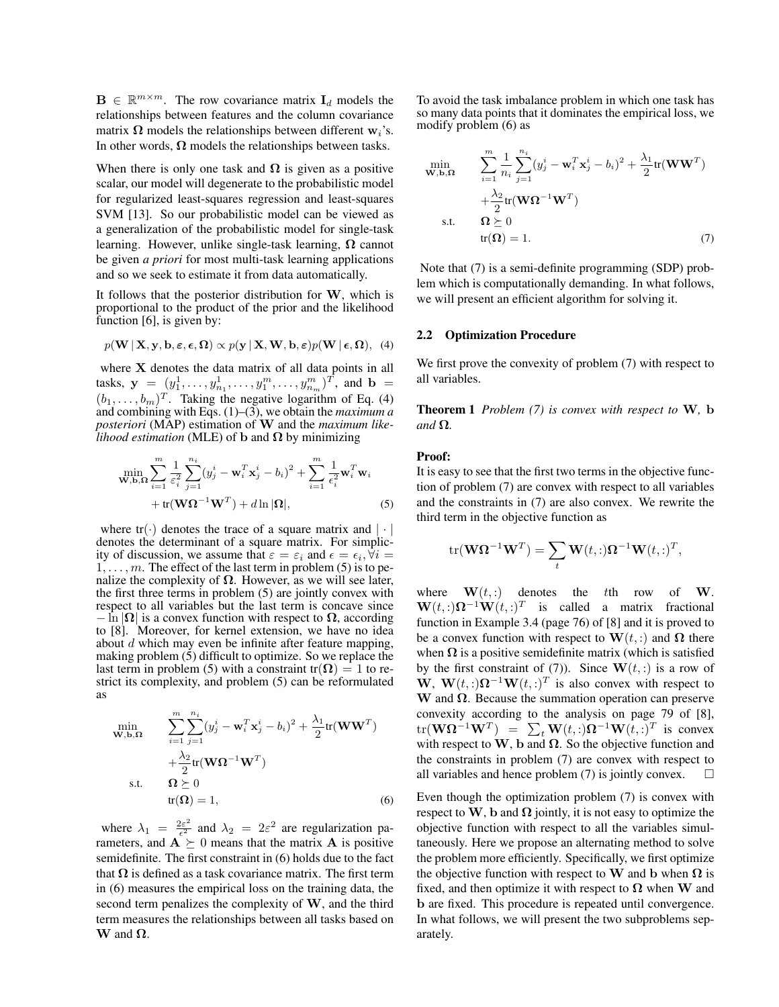$\mathbf{B} \in \mathbb{R}^{m \times m}$ . The row covariance matrix  $\mathbf{I}_d$  models the relationships between features and the column covariance matrix  $\Omega$  models the relationships between different w<sub>i</sub>'s. In other words,  $\Omega$  models the relationships between tasks.

When there is only one task and  $\Omega$  is given as a positive scalar, our model will degenerate to the probabilistic model for regularized least-squares regression and least-squares SVM [13]. So our probabilistic model can be viewed as a generalization of the probabilistic model for single-task learning. However, unlike single-task learning,  $\Omega$  cannot be given *a priori* for most multi-task learning applications and so we seek to estimate it from data automatically.

It follows that the posterior distribution for  $W$ , which is proportional to the product of the prior and the likelihood function [6], is given by:

$$
p(\mathbf{W} | \mathbf{X}, \mathbf{y}, \mathbf{b}, \boldsymbol{\varepsilon}, \boldsymbol{\epsilon}, \boldsymbol{\Omega}) \propto p(\mathbf{y} | \mathbf{X}, \mathbf{W}, \mathbf{b}, \boldsymbol{\varepsilon}) p(\mathbf{W} | \boldsymbol{\epsilon}, \boldsymbol{\Omega}),
$$
 (4)

where X denotes the data matrix of all data points in all tasks,  $y = (y_1^1, \ldots, y_{n_1}^1, \ldots, y_1^m, \ldots, y_{n_m}^m)^T$ , and  $b =$  $(b_1, \ldots, b_m)^T$ . Taking the negative logarithm of Eq. (4) and combining with Eqs. (1)–(3), we obtain the *maximum a posteriori* (MAP) estimation of W and the *maximum likelihood estimation* (MLE) of **b** and  $\Omega$  by minimizing

$$
\min_{\mathbf{W},\mathbf{b},\mathbf{\Omega}} \sum_{i=1}^{m} \frac{1}{\varepsilon_i^2} \sum_{j=1}^{n_i} (y_j^i - \mathbf{w}_i^T \mathbf{x}_j^i - b_i)^2 + \sum_{i=1}^{m} \frac{1}{\varepsilon_i^2} \mathbf{w}_i^T \mathbf{w}_i
$$
  
+ tr( $\mathbf{W}\mathbf{\Omega}^{-1}\mathbf{W}^T$ ) + dln $|\mathbf{\Omega}|$ , (5)

where  $tr(\cdot)$  denotes the trace of a square matrix and  $|\cdot|$ denotes the determinant of a square matrix. For simplicity of discussion, we assume that  $\varepsilon = \varepsilon_i$  and  $\epsilon = \epsilon_i, \forall i =$  $1, \ldots, m$ . The effect of the last term in problem (5) is to penalize the complexity of  $\Omega$ . However, as we will see later, the first three terms in problem (5) are jointly convex with respect to all variables but the last term is concave since  $-\ln |\Omega|$  is a convex function with respect to  $\Omega$ , according to [8]. Moreover, for kernel extension, we have no idea about  $d$  which may even be infinite after feature mapping, making problem (5) difficult to optimize. So we replace the last term in problem (5) with a constraint tr( $\Omega$ ) = 1 to restrict its complexity, and problem (5) can be reformulated as

$$
\min_{\mathbf{W},\mathbf{b},\mathbf{\Omega}} \qquad \sum_{i=1}^{m} \sum_{j=1}^{n_i} (y_j^i - \mathbf{w}_i^T \mathbf{x}_j^i - b_i)^2 + \frac{\lambda_1}{2} tr(\mathbf{W} \mathbf{W}^T) \n+ \frac{\lambda_2}{2} tr(\mathbf{W} \mathbf{\Omega}^{-1} \mathbf{W}^T) \n\text{s.t.} \qquad \mathbf{\Omega} \succeq 0 \ntr(\mathbf{\Omega}) = 1,
$$
\n(6)

where  $\lambda_1 = \frac{2\varepsilon^2}{\epsilon^2}$  $\frac{2\varepsilon^2}{\varepsilon^2}$  and  $\lambda_2 = 2\varepsilon^2$  are regularization parameters, and  $\overrightarrow{A} \succeq 0$  means that the matrix **A** is positive semidefinite. The first constraint in (6) holds due to the fact that  $\Omega$  is defined as a task covariance matrix. The first term in (6) measures the empirical loss on the training data, the second term penalizes the complexity of W, and the third term measures the relationships between all tasks based on  $W$  and  $\Omega$ .

To avoid the task imbalance problem in which one task has so many data points that it dominates the empirical loss, we modify problem (6) as

$$
\min_{\mathbf{W},\mathbf{b},\mathbf{\Omega}} \qquad \sum_{i=1}^{m} \frac{1}{n_i} \sum_{j=1}^{n_i} (y_j^i - \mathbf{w}_i^T \mathbf{x}_j^i - b_i)^2 + \frac{\lambda_1}{2} \text{tr}(\mathbf{W}\mathbf{W}^T) \n+ \frac{\lambda_2}{2} \text{tr}(\mathbf{W}\mathbf{\Omega}^{-1}\mathbf{W}^T) \n\text{s.t.} \qquad \mathbf{\Omega} \succeq 0 \n\text{tr}(\mathbf{\Omega}) = 1.
$$
\n(7)

Note that (7) is a semi-definite programming (SDP) problem which is computationally demanding. In what follows, we will present an efficient algorithm for solving it.

#### 2.2 Optimization Procedure

We first prove the convexity of problem (7) with respect to all variables.

Theorem 1 *Problem (7) is convex with respect to* W*,* b *and* Ω*.*

#### Proof:

It is easy to see that the first two terms in the objective function of problem (7) are convex with respect to all variables and the constraints in (7) are also convex. We rewrite the third term in the objective function as

$$
\text{tr}(\mathbf{W}\mathbf{\Omega}^{-1}\mathbf{W}^T) = \sum_t \mathbf{W}(t,:)\mathbf{\Omega}^{-1}\mathbf{W}(t,:)^T,
$$

where  $\mathbf{W}(t,.)$  denotes the tth row of W.  $\mathbf{W}(t, :)\mathbf{\Omega}^{-1}\mathbf{W}(t, :)^{T}$  is called a matrix fractional function in Example 3.4 (page 76) of [8] and it is proved to be a convex function with respect to  $\mathbf{W}(t,.)$  and  $\Omega$  there when  $\Omega$  is a positive semidefinite matrix (which is satisfied by the first constraint of (7)). Since  $\mathbf{W}(t,.)$  is a row of W,  $W(t,:)\Omega^{-1}W(t,:)^T$  is also convex with respect to W and  $\Omega$ . Because the summation operation can preserve convexity according to the analysis on page 79 of [8],  $\mathrm{tr}(\mathbf{W}\mathbf{\Omega}^{-1}\mathbf{W}^T)$  =  $\sum_t \mathbf{W}(t,:) \mathbf{\Omega}^{-1}\mathbf{W}(t,:)^T$  is convex with respect to W, b and  $\Omega$ . So the objective function and the constraints in problem (7) are convex with respect to all variables and hence problem  $(7)$  is jointly convex.

Even though the optimization problem (7) is convex with respect to W, b and  $\Omega$  jointly, it is not easy to optimize the objective function with respect to all the variables simultaneously. Here we propose an alternating method to solve the problem more efficiently. Specifically, we first optimize the objective function with respect to W and b when  $\Omega$  is fixed, and then optimize it with respect to  $\Omega$  when W and b are fixed. This procedure is repeated until convergence. In what follows, we will present the two subproblems separately.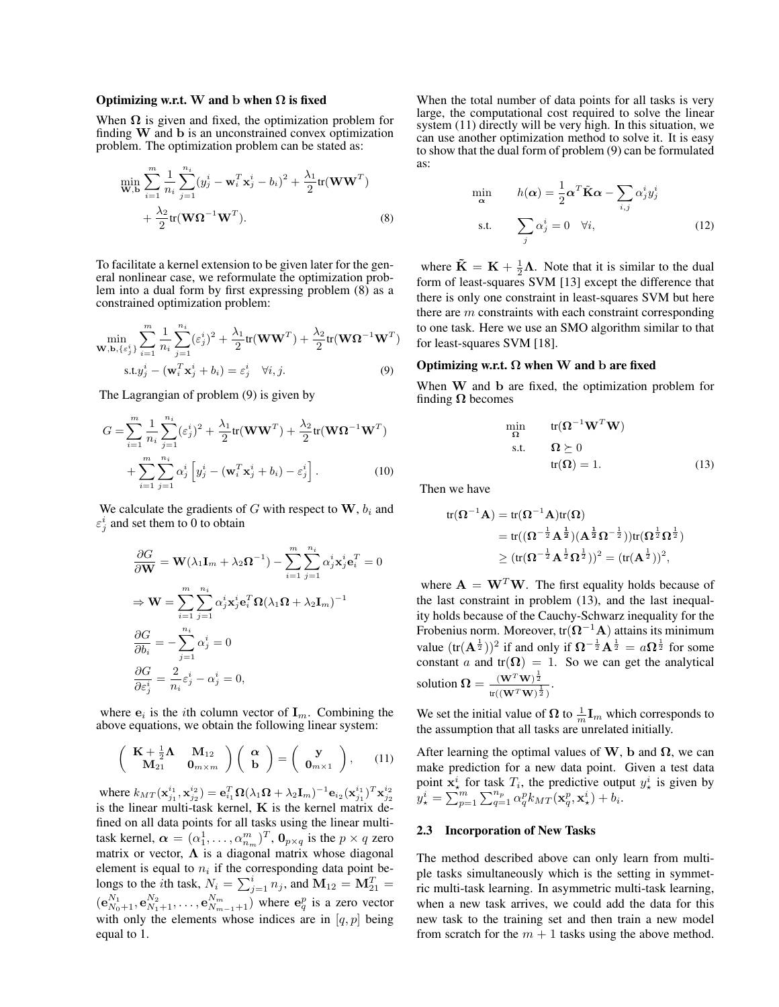#### Optimizing w.r.t. W and b when  $\Omega$  is fixed

When  $\Omega$  is given and fixed, the optimization problem for finding W and b is an unconstrained convex optimization problem. The optimization problem can be stated as:

$$
\min_{\mathbf{W},\mathbf{b}} \sum_{i=1}^{m} \frac{1}{n_i} \sum_{j=1}^{n_i} (y_j^i - \mathbf{w}_i^T \mathbf{x}_j^i - b_i)^2 + \frac{\lambda_1}{2} \text{tr}(\mathbf{W}\mathbf{W}^T) + \frac{\lambda_2}{2} \text{tr}(\mathbf{W}\Omega^{-1}\mathbf{W}^T).
$$
\n(8)

To facilitate a kernel extension to be given later for the general nonlinear case, we reformulate the optimization problem into a dual form by first expressing problem (8) as a constrained optimization problem:

$$
\min_{\mathbf{W}, \mathbf{b}, \{\varepsilon_j^i\}} \sum_{i=1}^m \frac{1}{n_i} \sum_{j=1}^{n_i} (\varepsilon_j^i)^2 + \frac{\lambda_1}{2} \text{tr}(\mathbf{W} \mathbf{W}^T) + \frac{\lambda_2}{2} \text{tr}(\mathbf{W} \mathbf{\Omega}^{-1} \mathbf{W}^T)
$$
\n
$$
\text{s.t.} y_j^i - (\mathbf{w}_i^T \mathbf{x}_j^i + b_i) = \varepsilon_j^i \quad \forall i, j. \tag{9}
$$

The Lagrangian of problem (9) is given by

$$
G = \sum_{i=1}^{m} \frac{1}{n_i} \sum_{j=1}^{n_i} (\varepsilon_j^i)^2 + \frac{\lambda_1}{2} tr(\mathbf{W} \mathbf{W}^T) + \frac{\lambda_2}{2} tr(\mathbf{W} \mathbf{\Omega}^{-1} \mathbf{W}^T) + \sum_{i=1}^{m} \sum_{j=1}^{n_i} \alpha_j^i \left[ y_j^i - (\mathbf{w}_i^T \mathbf{x}_j^i + b_i) - \varepsilon_j^i \right].
$$
 (10)

We calculate the gradients of  $G$  with respect to  $W$ ,  $b_i$  and  $\varepsilon_j^i$  and set them to 0 to obtain

$$
\frac{\partial G}{\partial \mathbf{W}} = \mathbf{W}(\lambda_1 \mathbf{I}_m + \lambda_2 \mathbf{\Omega}^{-1}) - \sum_{i=1}^m \sum_{j=1}^{n_i} \alpha_j^i \mathbf{x}_j^i \mathbf{e}_i^T = 0
$$
  
\n
$$
\Rightarrow \mathbf{W} = \sum_{i=1}^m \sum_{j=1}^{n_i} \alpha_j^i \mathbf{x}_j^i \mathbf{e}_i^T \mathbf{\Omega} (\lambda_1 \mathbf{\Omega} + \lambda_2 \mathbf{I}_m)^{-1}
$$
  
\n
$$
\frac{\partial G}{\partial b_i} = -\sum_{j=1}^{n_i} \alpha_j^i = 0
$$
  
\n
$$
\frac{\partial G}{\partial \varepsilon_j^i} = \frac{2}{n_i} \varepsilon_j^i - \alpha_j^i = 0,
$$

where  $e_i$  is the *i*th column vector of  $I_m$ . Combining the above equations, we obtain the following linear system:

$$
\left(\begin{array}{cc}\n\mathbf{K} + \frac{1}{2}\mathbf{\Lambda} & \mathbf{M}_{12} \\
\mathbf{M}_{21} & \mathbf{0}_{m \times m}\n\end{array}\right) \left(\begin{array}{c}\n\alpha \\
\mathbf{b}\n\end{array}\right) = \left(\begin{array}{c}\n\mathbf{y} \\
\mathbf{0}_{m \times 1}\n\end{array}\right), \quad (11)
$$

where  $k_{MT}(\mathbf{x}_{j_1}^{i_1},\mathbf{x}_{j_2}^{i_2}) = \mathbf{e}_{i_1}^T\mathbf{\Omega}(\lambda_1\mathbf{\Omega} + \lambda_2\mathbf{I}_m)^{-1}\mathbf{e}_{i_2}(\mathbf{x}_{j_1}^{i_1})^T\mathbf{x}_{j_2}^{i_2}$ is the linear multi-task kernel,  $K$  is the kernel matrix defined on all data points for all tasks using the linear multitask kernel,  $\boldsymbol{\alpha} = (\alpha_1^1, \dots, \alpha_{n_m}^m)^T$ ,  $\mathbf{0}_{p \times q}$  is the  $p \times q$  zero matrix or vector,  $\Lambda$  is a diagonal matrix whose diagonal element is equal to  $n_i$  if the corresponding data point belongs to the *i*th task,  $N_i = \sum_{j=1}^i n_j$ , and  $\mathbf{M}_{12} = \mathbf{M}_{21}^T =$  $(\mathbf{e}_{N_0+1}^{N_1}, \mathbf{e}_{N_1+1}^{N_2}, \dots, \mathbf{e}_{N_{m-1}+1}^{N_m})$  where  $\mathbf{e}_q^p$  is a zero vector with only the elements whose indices are in  $[q, p]$  being equal to 1.

When the total number of data points for all tasks is very large, the computational cost required to solve the linear system (11) directly will be very high. In this situation, we can use another optimization method to solve it. It is easy to show that the dual form of problem (9) can be formulated as:

$$
\min_{\alpha} \qquad h(\alpha) = \frac{1}{2} \alpha^T \tilde{K} \alpha - \sum_{i,j} \alpha_j^i y_j^i
$$
\n
$$
\text{s.t.} \qquad \sum_j \alpha_j^i = 0 \quad \forall i,
$$
\n
$$
(12)
$$

where  $\tilde{\mathbf{K}} = \mathbf{K} + \frac{1}{2}\boldsymbol{\Lambda}$ . Note that it is similar to the dual form of least-squares SVM [13] except the difference that there is only one constraint in least-squares SVM but here there are  $m$  constraints with each constraint corresponding to one task. Here we use an SMO algorithm similar to that for least-squares SVM [18].

### Optimizing w.r.t.  $\Omega$  when W and b are fixed

When W and b are fixed, the optimization problem for finding  $\Omega$  becomes

$$
\min_{\Omega} \quad \text{tr}(\Omega^{-1} \mathbf{W}^T \mathbf{W})
$$
\n
$$
\text{s.t.} \quad \Omega \succeq 0
$$
\n
$$
\text{tr}(\Omega) = 1. \tag{13}
$$

Then we have

$$
\begin{aligned} tr(\boldsymbol{\Omega}^{-1}\mathbf{A}) &= tr(\boldsymbol{\Omega}^{-1}\mathbf{A})tr(\boldsymbol{\Omega}) \\ &= tr((\boldsymbol{\Omega}^{-\frac{1}{2}}\mathbf{A}^{\frac{1}{2}})(\mathbf{A}^{\frac{1}{2}}\boldsymbol{\Omega}^{-\frac{1}{2}}))tr(\boldsymbol{\Omega}^{\frac{1}{2}}\boldsymbol{\Omega}^{\frac{1}{2}}) \\ &\geq (tr(\boldsymbol{\Omega}^{-\frac{1}{2}}\mathbf{A}^{\frac{1}{2}}\boldsymbol{\Omega}^{\frac{1}{2}}))^2 = (tr(\mathbf{A}^{\frac{1}{2}}))^2, \end{aligned}
$$

where  $\mathbf{A} = \mathbf{W}^T \mathbf{W}$ . The first equality holds because of the last constraint in problem (13), and the last inequality holds because of the Cauchy-Schwarz inequality for the Frobenius norm. Moreover, tr $(\Omega^{-1}A)$  attains its minimum value  $(\text{tr}(\mathbf{A}^{\frac{1}{2}}))^2$  if and only if  $\mathbf{\Omega}^{-\frac{1}{2}}\mathbf{A}^{\frac{1}{2}} = a\mathbf{\Omega}^{\frac{1}{2}}$  for some constant *a* and tr( $\Omega$ ) = 1. So we can get the analytical solution  $\Omega = \frac{(\mathbf{W}^T \mathbf{W})^{\frac{1}{2}}}{\sqrt{2\pi} \mathbf{W}}$  $\frac{(\mathbf{W} \cdot \mathbf{W})^2}{\text{tr}((\mathbf{W}^T \mathbf{W})^{\frac{1}{2}})}.$ 

We set the initial value of  $\Omega$  to  $\frac{1}{m} \mathbf{I}_m$  which corresponds to the assumption that all tasks are unrelated initially.

After learning the optimal values of W, b and  $\Omega$ , we can make prediction for a new data point. Given a test data point  $x^i_{\star}$  for task  $T_i$ , the predictive output  $y^i_{\star}$  is given by  $y_{\star}^i = \sum_{p=1}^m \sum_{q=1}^{n_p} \alpha_q^p k_{MT}(\mathbf{x}_q^p, \mathbf{x}_{\star}^i) + b_i.$ 

#### 2.3 Incorporation of New Tasks

The method described above can only learn from multiple tasks simultaneously which is the setting in symmetric multi-task learning. In asymmetric multi-task learning, when a new task arrives, we could add the data for this new task to the training set and then train a new model from scratch for the  $m + 1$  tasks using the above method.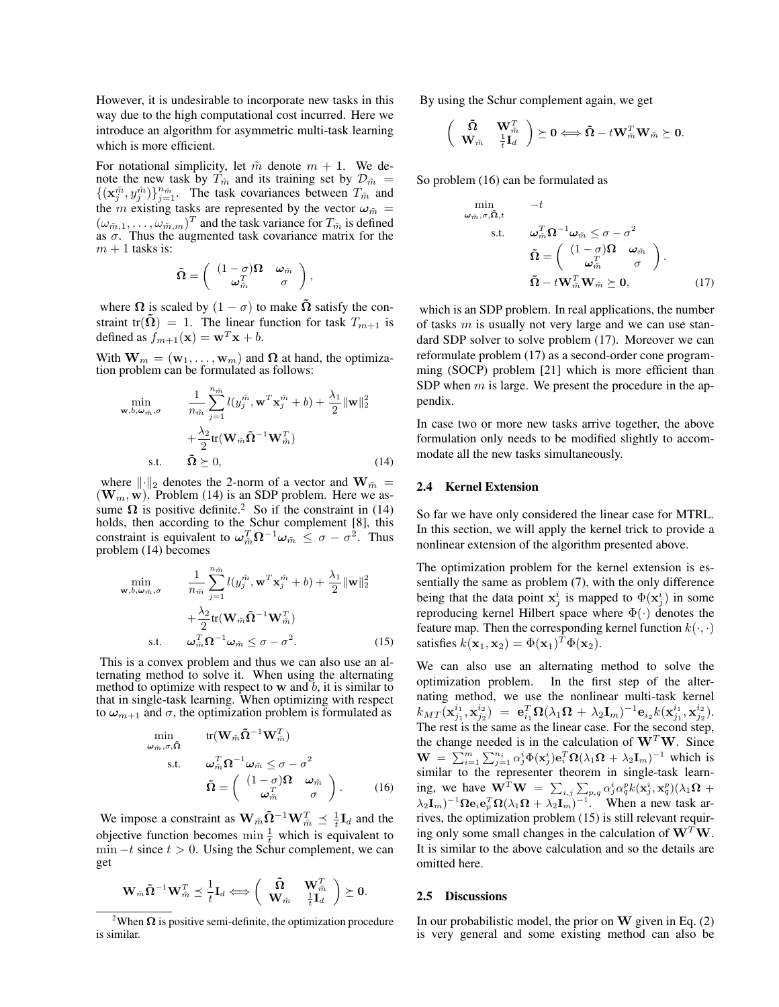However, it is undesirable to incorporate new tasks in this way due to the high computational cost incurred. Here we introduce an algorithm for asymmetric multi-task learning which is more efficient.

For notational simplicity, let  $\tilde{m}$  denote  $m + 1$ . We denote the new task by  $T_{\tilde{m}}$  and its training set by  $\mathcal{D}_{\tilde{m}} =$  $\{(\mathbf{x}_j^{\tilde{m}}, y_j^{\tilde{m}})\}_{j=1}^{n_{\tilde{m}}}$ . The task covariances between  $T_{\tilde{m}}$  and the  $\dot{m}$  existing tasks are represented by the vector  $\omega_{\tilde{m}} =$  $(\omega_{\tilde{m},1}, \dots, \omega_{\tilde{m},m})^T$  and the task variance for  $T_{\tilde{m}}$  is defined as  $\sigma$ . Thus the augmented task covariance matrix for the  $m + 1$  tasks is:

$$
\tilde{\boldsymbol{\Omega}} = \left( \begin{array}{cc} (1-\sigma)\boldsymbol{\Omega} & \boldsymbol{\omega}_{\tilde{m}} \\ \boldsymbol{\omega}_{\tilde{m}}^T & \sigma \end{array} \right),
$$

where  $\Omega$  is scaled by  $(1 - \sigma)$  to make  $\tilde{\Omega}$  satisfy the constraint tr( $\tilde{\Omega}$ ) = 1. The linear function for task  $T_{m+1}$  is defined as  $f_{m+1}(\mathbf{x}) = \mathbf{w}^T \mathbf{x} + b$ .

With  $\mathbf{W}_m = (\mathbf{w}_1, \dots, \mathbf{w}_m)$  and  $\boldsymbol{\Omega}$  at hand, the optimization problem can be formulated as follows:

$$
\min_{\mathbf{w}, b, \omega_{\tilde{m}}, \sigma} \qquad \frac{1}{n_{\tilde{m}}} \sum_{j=1}^{n_{\tilde{m}}} l(y_j^{\tilde{m}}, \mathbf{w}^T \mathbf{x}_j^{\tilde{m}} + b) + \frac{\lambda_1}{2} ||\mathbf{w}||_2^2 + \frac{\lambda_2}{2} tr(\mathbf{W}_{\tilde{m}} \tilde{\mathbf{\Omega}}^{-1} \mathbf{W}_{\tilde{m}}^T) s.t. \qquad \tilde{\mathbf{\Omega}} \succeq 0,
$$
\n(14)

where  $\lVert \cdot \rVert_2$  denotes the 2-norm of a vector and  $\mathbf{W}_{\tilde{m}} =$  $(\mathbf{W}_m, \mathbf{w})$ . Problem (14) is an SDP problem. Here we assume  $\Omega$  is positive definite.<sup>2</sup> So if the constraint in (14) holds, then according to the Schur complement [8], this constraint is equivalent to  $\omega_{\tilde{m}}^T \Omega^{-1} \omega_{\tilde{m}} \le \sigma - \sigma^2$ . Thus problem (14) becomes

$$
\min_{\mathbf{w},b,\omega_{\tilde{m}},\sigma} \qquad \frac{1}{n_{\tilde{m}}} \sum_{j=1}^{n_{\tilde{m}}} l(y_j^{\tilde{m}}, \mathbf{w}^T \mathbf{x}_j^{\tilde{m}} + b) + \frac{\lambda_1}{2} ||\mathbf{w}||_2^2 \n+ \frac{\lambda_2}{2} tr(\mathbf{W}_{\tilde{m}} \tilde{\mathbf{\Omega}}^{-1} \mathbf{W}_{\tilde{m}}^T) \ns.t. \qquad \omega_{\tilde{m}}^T \mathbf{\Omega}^{-1} \omega_{\tilde{m}} \le \sigma - \sigma^2.
$$
\n(15)

This is a convex problem and thus we can also use an alternating method to solve it. When using the alternating method to optimize with respect to  $w$  and  $b$ , it is similar to that in single-task learning. When optimizing with respect to  $\omega_{m+1}$  and  $\sigma$ , the optimization problem is formulated as

$$
\begin{array}{ll}\n\min & \text{tr}(\mathbf{W}_{\tilde{m}}\tilde{\mathbf{\Omega}}^{-1}\mathbf{W}_{\tilde{m}}^T) \\
\text{s.t.} & \omega_{\tilde{m}}^T\mathbf{\Omega}^{-1}\omega_{\tilde{m}} \leq \sigma - \sigma^2 \\
& \tilde{\mathbf{\Omega}} = \begin{pmatrix} (1-\sigma)\mathbf{\Omega} & \omega_{\tilde{m}} \\
\omega_{\tilde{m}}^T & \sigma \end{pmatrix}.\n\end{array} \tag{16}
$$

We impose a constraint as  $\mathbf{W}_{\tilde{m}} \tilde{\mathbf{\Omega}}^{-1} \mathbf{W}_{\tilde{m}}^T \preceq \frac{1}{t} \mathbf{I}_d$  and the objective function becomes  $\min_{t} \frac{1}{t}$  which is equivalent to  $\min -t$  since  $t > 0$ . Using the Schur complement, we can get

$$
\mathbf{W}_{\tilde{m}}\mathbf{\tilde{\Omega}}^{-1}\mathbf{W}_{\tilde{m}}^T \preceq \frac{1}{t}\mathbf{I}_d \Longleftrightarrow \left(\begin{array}{cc} \mathbf{\tilde{\Omega}} & \mathbf{W}_{\tilde{m}}^T \\ \mathbf{W}_{\tilde{m}} & \frac{1}{t}\mathbf{I}_d \end{array}\right) \succeq 0.
$$

By using the Schur complement again, we get

$$
\left(\begin{array}{cc} \tilde{\mathbf{\Omega}} & \mathbf{W}_{\tilde{m}}^T \\ \mathbf{W}_{\tilde{m}} & \frac{1}{t} \mathbf{I}_d \end{array}\right) \succeq \mathbf{0} \Longleftrightarrow \tilde{\mathbf{\Omega}} - t \mathbf{W}_{\tilde{m}}^T \mathbf{W}_{\tilde{m}} \succeq \mathbf{0}.
$$

So problem (16) can be formulated as

$$
\min_{\omega_{\tilde{m}}, \sigma, \tilde{\Omega}, t} \qquad -t
$$
\n
$$
\text{s.t.} \qquad \omega_{\tilde{m}}^T \Omega^{-1} \omega_{\tilde{m}} \le \sigma - \sigma^2
$$
\n
$$
\tilde{\Omega} = \begin{pmatrix} (1 - \sigma) \Omega & \omega_{\tilde{m}} \\ \omega_{\tilde{m}}^T & \sigma \end{pmatrix}.
$$
\n
$$
\tilde{\Omega} - t \mathbf{W}_{\tilde{m}}^T \mathbf{W}_{\tilde{m}} \succeq \mathbf{0}, \qquad (17)
$$

which is an SDP problem. In real applications, the number of tasks  $m$  is usually not very large and we can use standard SDP solver to solve problem (17). Moreover we can reformulate problem (17) as a second-order cone programming (SOCP) problem [21] which is more efficient than SDP when  $m$  is large. We present the procedure in the appendix.

In case two or more new tasks arrive together, the above formulation only needs to be modified slightly to accommodate all the new tasks simultaneously.

#### 2.4 Kernel Extension

So far we have only considered the linear case for MTRL. In this section, we will apply the kernel trick to provide a nonlinear extension of the algorithm presented above.

The optimization problem for the kernel extension is essentially the same as problem (7), with the only difference being that the data point  $x_j^i$  is mapped to  $\Phi(x_j^i)$  in some reproducing kernel Hilbert space where  $\Phi(\cdot)$  denotes the feature map. Then the corresponding kernel function  $k(\cdot, \cdot)$ satisfies  $k(\mathbf{x}_1, \mathbf{x}_2) = \Phi(\mathbf{x}_1)^T \Phi(\mathbf{x}_2)$ .

We can also use an alternating method to solve the optimization problem. In the first step of the alternating method, we use the nonlinear multi-task kernel  $k_{MT}({\bf x}^{i_1}_{j_1},{\bf x}^{i_2}_{j_2}) \;=\; {\bf e}^{T}_{i_1}{\bf \Omega}(\lambda_1{\bf \Omega}\,+\,\lambda_2{\bf I}_m)^{-1}{\bf e}_{i_2}k({\bf x}^{i_1}_{j_1},{\bf x}^{i_2}_{j_2}).$ The rest is the same as the linear case. For the second step, the change needed is in the calculation of  $W<sup>T</sup>W$ . Since  $\mathbf{W} = \sum_{i=1}^{m} \sum_{j=1}^{n_i} \alpha_j^i \Phi(\mathbf{x}_j^i) \mathbf{e}_i^T \mathbf{\Omega} (\lambda_1 \mathbf{\Omega} + \lambda_2 \mathbf{I}_m)^{-1}$  which is similar to the representer theorem in single-task learning, we have  $\mathbf{W}^T \mathbf{W} = \sum_{i,j} \sum_{p,q} \alpha_j^i \alpha_q^p k(\mathbf{x}_j^i, \mathbf{x}_q^p) (\lambda_1 \mathbf{\Omega} + \mathbf{W}^T \mathbf{W})$  $\lambda_2 I_m$ )<sup>-1</sup> $\Omega$ e<sub>i</sub>e<sub>p</sub><sup>T</sup> $\Omega(\lambda_1 \Omega + \lambda_2 I_m)$ <sup>-1</sup>. When a new task arrives, the optimization problem (15) is still relevant requiring only some small changes in the calculation of  $W^T W$ . It is similar to the above calculation and so the details are omitted here.

### 2.5 Discussions

In our probabilistic model, the prior on  $W$  given in Eq. (2) is very general and some existing method can also be

<sup>&</sup>lt;sup>2</sup>When  $\Omega$  is positive semi-definite, the optimization procedure is similar.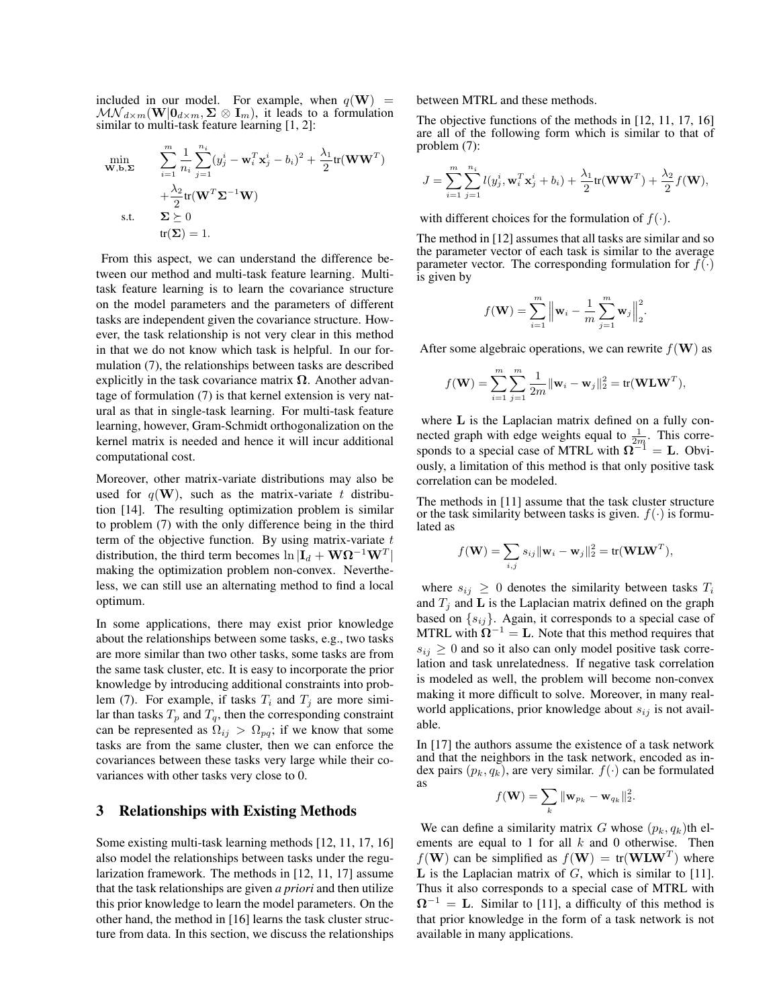included in our model. For example, when  $q(\mathbf{W})$  =  $\mathcal{MN}_{d\times m}(\mathbf{W}|\mathbf{0}_{d\times m},\mathbf{\Sigma}\otimes\mathbf{I}_m),$  it leads to a formulation similar to multi-task feature learning [1, 2]:

$$
\begin{aligned}\n\min_{\mathbf{W}, \mathbf{b}, \mathbf{\Sigma}} & \sum_{i=1}^{m} \frac{1}{n_i} \sum_{j=1}^{n_i} (y_j^i - \mathbf{w}_i^T \mathbf{x}_j^i - b_i)^2 + \frac{\lambda_1}{2} \text{tr}(\mathbf{W} \mathbf{W}^T) \\
& + \frac{\lambda_2}{2} \text{tr}(\mathbf{W}^T \mathbf{\Sigma}^{-1} \mathbf{W}) \\
\text{s.t.} & \mathbf{\Sigma} \succeq 0 \\
& \text{tr}(\mathbf{\Sigma}) = 1.\n\end{aligned}
$$

From this aspect, we can understand the difference between our method and multi-task feature learning. Multitask feature learning is to learn the covariance structure on the model parameters and the parameters of different tasks are independent given the covariance structure. However, the task relationship is not very clear in this method in that we do not know which task is helpful. In our formulation (7), the relationships between tasks are described explicitly in the task covariance matrix  $\Omega$ . Another advantage of formulation (7) is that kernel extension is very natural as that in single-task learning. For multi-task feature learning, however, Gram-Schmidt orthogonalization on the kernel matrix is needed and hence it will incur additional computational cost.

Moreover, other matrix-variate distributions may also be used for  $q(\mathbf{W})$ , such as the matrix-variate t distribution [14]. The resulting optimization problem is similar to problem (7) with the only difference being in the third term of the objective function. By using matrix-variate  $t$ distribution, the third term becomes  $\ln|\mathbf{I}_d + \mathbf{W}\boldsymbol{\Omega}^{-1}\mathbf{W}^T|$ making the optimization problem non-convex. Nevertheless, we can still use an alternating method to find a local optimum.

In some applications, there may exist prior knowledge about the relationships between some tasks, e.g., two tasks are more similar than two other tasks, some tasks are from the same task cluster, etc. It is easy to incorporate the prior knowledge by introducing additional constraints into problem (7). For example, if tasks  $T_i$  and  $T_j$  are more similar than tasks  $T_p$  and  $T_q$ , then the corresponding constraint can be represented as  $\Omega_{ij} > \Omega_{pq}$ ; if we know that some tasks are from the same cluster, then we can enforce the covariances between these tasks very large while their covariances with other tasks very close to 0.

## 3 Relationships with Existing Methods

Some existing multi-task learning methods [12, 11, 17, 16] also model the relationships between tasks under the regularization framework. The methods in [12, 11, 17] assume that the task relationships are given *a priori* and then utilize this prior knowledge to learn the model parameters. On the other hand, the method in [16] learns the task cluster structure from data. In this section, we discuss the relationships between MTRL and these methods.

The objective functions of the methods in [12, 11, 17, 16] are all of the following form which is similar to that of problem (7):

$$
J = \sum_{i=1}^{m} \sum_{j=1}^{n_i} l(y_j^i, \mathbf{w}_i^T \mathbf{x}_j^i + b_i) + \frac{\lambda_1}{2} tr(\mathbf{W} \mathbf{W}^T) + \frac{\lambda_2}{2} f(\mathbf{W}),
$$

with different choices for the formulation of  $f(\cdot)$ .

The method in [12] assumes that all tasks are similar and so the parameter vector of each task is similar to the average parameter vector. The corresponding formulation for  $f(·)$ is given by

$$
f(\mathbf{W}) = \sum_{i=1}^{m} \left\| \mathbf{w}_i - \frac{1}{m} \sum_{j=1}^{m} \mathbf{w}_j \right\|_2^2.
$$

After some algebraic operations, we can rewrite  $f(\mathbf{W})$  as

$$
f(\mathbf{W}) = \sum_{i=1}^{m} \sum_{j=1}^{m} \frac{1}{2m} ||\mathbf{w}_i - \mathbf{w}_j||_2^2 = \text{tr}(\mathbf{W} \mathbf{L} \mathbf{W}^T),
$$

where L is the Laplacian matrix defined on a fully connected graph with edge weights equal to  $\frac{1}{2m}$ . This corresponds to a special case of MTRL with  $\Omega^{-1} = L$ . Obviously, a limitation of this method is that only positive task correlation can be modeled.

The methods in [11] assume that the task cluster structure or the task similarity between tasks is given.  $f(\cdot)$  is formulated as

$$
f(\mathbf{W}) = \sum_{i,j} s_{ij} ||\mathbf{w}_i - \mathbf{w}_j||_2^2 = \text{tr}(\mathbf{W} \mathbf{L} \mathbf{W}^T),
$$

where  $s_{ij} \geq 0$  denotes the similarity between tasks  $T_i$ and  $T_j$  and  $\bf{L}$  is the Laplacian matrix defined on the graph based on  $\{s_{ij}\}\$ . Again, it corresponds to a special case of MTRL with  $\Omega^{-1} = L$ . Note that this method requires that  $s_{ij} \geq 0$  and so it also can only model positive task correlation and task unrelatedness. If negative task correlation is modeled as well, the problem will become non-convex making it more difficult to solve. Moreover, in many realworld applications, prior knowledge about  $s_{ij}$  is not available.

In [17] the authors assume the existence of a task network and that the neighbors in the task network, encoded as index pairs  $(p_k, q_k)$ , are very similar.  $f(\cdot)$  can be formulated as

$$
f(\mathbf{W}) = \sum_{k} \|\mathbf{w}_{p_k} - \mathbf{w}_{q_k}\|_2^2.
$$

We can define a similarity matrix G whose  $(p_k, q_k)$ th elements are equal to 1 for all  $k$  and 0 otherwise. Then  $f(\mathbf{W})$  can be simplified as  $f(\mathbf{W}) = \text{tr}(\mathbf{W} \mathbf{L} \mathbf{W}^T)$  where L is the Laplacian matrix of  $G$ , which is similar to [11]. Thus it also corresponds to a special case of MTRL with  $\Omega^{-1} = L$ . Similar to [11], a difficulty of this method is that prior knowledge in the form of a task network is not available in many applications.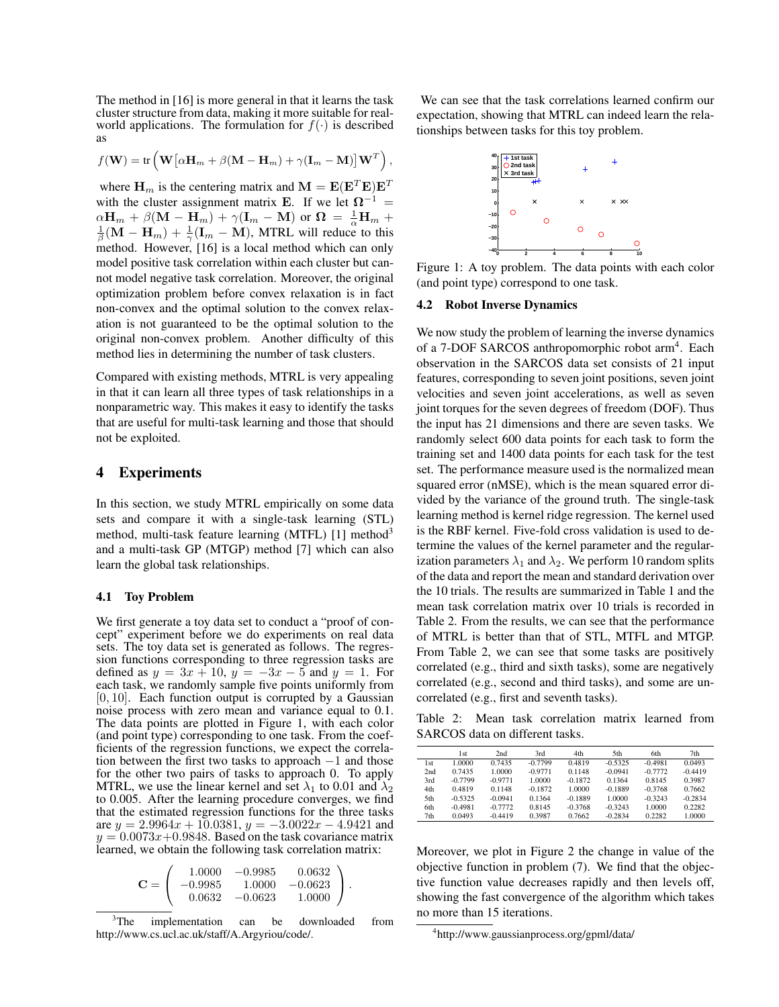The method in [16] is more general in that it learns the task cluster structure from data, making it more suitable for realworld applications. The formulation for  $f(\cdot)$  is described as

$$
f(\mathbf{W}) = \text{tr}\left(\mathbf{W}\big[\alpha\mathbf{H}_m + \beta(\mathbf{M} - \mathbf{H}_m) + \gamma(\mathbf{I}_m - \mathbf{M})\big]\mathbf{W}^T\right),\,
$$

where  $\mathbf{H}_m$  is the centering matrix and  $\mathbf{M} = \mathbf{E}(\mathbf{E}^T \mathbf{E}) \mathbf{E}^T$ with the cluster assignment matrix E. If we let  $\Omega^{-1}$  =  $\alpha \mathbf{H}_m + \beta(\mathbf{M} - \mathbf{H}_m) + \gamma(\mathbf{I}_m - \mathbf{M})$  or  $\mathbf{\Omega} = \frac{1}{\alpha} \mathbf{H}_m + \gamma(\mathbf{I}_m - \mathbf{M})$  $\frac{1}{\beta}(\mathbf{M}-\mathbf{H}_m)+\frac{1}{\gamma}(\mathbf{I}_m-\mathbf{M}),$  MTRL will reduce to this method. However, [16] is a local method which can only model positive task correlation within each cluster but cannot model negative task correlation. Moreover, the original optimization problem before convex relaxation is in fact non-convex and the optimal solution to the convex relaxation is not guaranteed to be the optimal solution to the original non-convex problem. Another difficulty of this method lies in determining the number of task clusters.

Compared with existing methods, MTRL is very appealing in that it can learn all three types of task relationships in a nonparametric way. This makes it easy to identify the tasks that are useful for multi-task learning and those that should not be exploited.

## 4 Experiments

In this section, we study MTRL empirically on some data sets and compare it with a single-task learning (STL) method, multi-task feature learning (MTFL) [1] method<sup>3</sup> and a multi-task GP (MTGP) method [7] which can also learn the global task relationships.

#### 4.1 Toy Problem

We first generate a toy data set to conduct a "proof of concept" experiment before we do experiments on real data sets. The toy data set is generated as follows. The regression functions corresponding to three regression tasks are defined as  $y = 3x + 10$ ,  $y = -3x - 5$  and  $y = 1$ . For each task, we randomly sample five points uniformly from  $[0, 10]$ . Each function output is corrupted by a Gaussian noise process with zero mean and variance equal to 0.1. The data points are plotted in Figure 1, with each color (and point type) corresponding to one task. From the coefficients of the regression functions, we expect the correlation between the first two tasks to approach −1 and those for the other two pairs of tasks to approach 0. To apply MTRL, we use the linear kernel and set  $\lambda_1$  to 0.01 and  $\lambda_2$ to 0.005. After the learning procedure converges, we find that the estimated regression functions for the three tasks are  $y = 2.9964x + 10.0381$ ,  $y = -3.0022x - 4.9421$  and  $y = 0.0073x + 0.9848$ . Based on the task covariance matrix learned, we obtain the following task correlation matrix:

$$
\mathbf{C} = \left( \begin{array}{ccc} 1.0000 & -0.9985 & 0.0632 \\ -0.9985 & 1.0000 & -0.0623 \\ 0.0632 & -0.0623 & 1.0000 \end{array} \right).
$$

<sup>3</sup>The implementation can be downloaded from http://www.cs.ucl.ac.uk/staff/A.Argyriou/code/.

We can see that the task correlations learned confirm our expectation, showing that MTRL can indeed learn the relationships between tasks for this toy problem.



Figure 1: A toy problem. The data points with each color (and point type) correspond to one task.

#### 4.2 Robot Inverse Dynamics

We now study the problem of learning the inverse dynamics of a 7-DOF SARCOS anthropomorphic robot arm<sup>4</sup>. Each observation in the SARCOS data set consists of 21 input features, corresponding to seven joint positions, seven joint velocities and seven joint accelerations, as well as seven joint torques for the seven degrees of freedom (DOF). Thus the input has 21 dimensions and there are seven tasks. We randomly select 600 data points for each task to form the training set and 1400 data points for each task for the test set. The performance measure used is the normalized mean squared error (nMSE), which is the mean squared error divided by the variance of the ground truth. The single-task learning method is kernel ridge regression. The kernel used is the RBF kernel. Five-fold cross validation is used to determine the values of the kernel parameter and the regularization parameters  $\lambda_1$  and  $\lambda_2$ . We perform 10 random splits of the data and report the mean and standard derivation over the 10 trials. The results are summarized in Table 1 and the mean task correlation matrix over 10 trials is recorded in Table 2. From the results, we can see that the performance of MTRL is better than that of STL, MTFL and MTGP. From Table 2, we can see that some tasks are positively correlated (e.g., third and sixth tasks), some are negatively correlated (e.g., second and third tasks), and some are uncorrelated (e.g., first and seventh tasks).

Table 2: Mean task correlation matrix learned from SARCOS data on different tasks.

|     | 1st       | 2nd       | 3rd       | 4th       | 5th       | 6th       | 7th       |
|-----|-----------|-----------|-----------|-----------|-----------|-----------|-----------|
| 1st | 1.0000    | 0.7435    | $-0.7799$ | 0.4819    | $-0.5325$ | $-0.4981$ | 0.0493    |
| 2nd | 0.7435    | 1.0000    | $-0.9771$ | 0.1148    | $-0.0941$ | $-0.7772$ | $-0.4419$ |
| 3rd | $-0.7799$ | $-0.9771$ | 1.0000    | $-0.1872$ | 0.1364    | 0.8145    | 0.3987    |
| 4th | 0.4819    | 0.1148    | $-0.1872$ | 1.0000    | $-0.1889$ | $-0.3768$ | 0.7662    |
| 5th | $-0.5325$ | $-0.0941$ | 0.1364    | $-0.1889$ | 1.0000    | $-0.3243$ | $-0.2834$ |
| 6th | $-0.4981$ | $-0.7772$ | 0.8145    | $-0.3768$ | $-0.3243$ | 1.0000    | 0.2282    |
| 7th | 0.0493    | $-0.4419$ | 0.3987    | 0.7662    | $-0.2834$ | 0.2282    | 1.0000    |

Moreover, we plot in Figure 2 the change in value of the objective function in problem (7). We find that the objective function value decreases rapidly and then levels off, showing the fast convergence of the algorithm which takes no more than 15 iterations.

<sup>4</sup> http://www.gaussianprocess.org/gpml/data/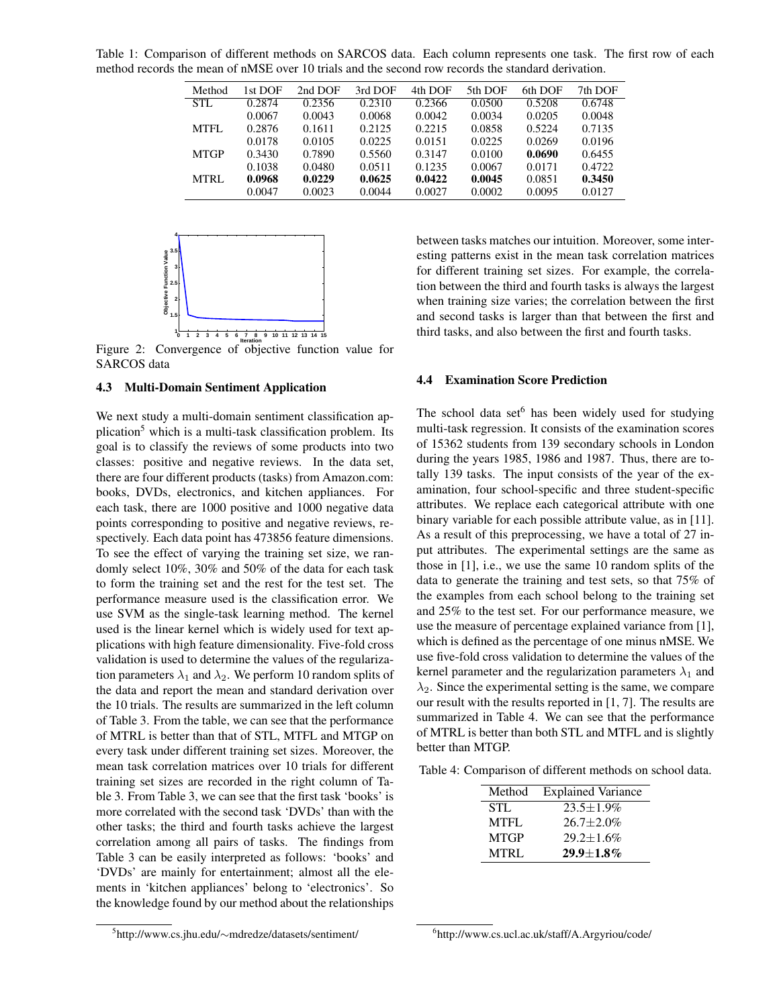Table 1: Comparison of different methods on SARCOS data. Each column represents one task. The first row of each method records the mean of nMSE over 10 trials and the second row records the standard derivation.

| Method      | 1st DOF | 2nd DOF | 3rd DOF | 4th DOF | 5th DOF | 6th DOF | 7th DOF |
|-------------|---------|---------|---------|---------|---------|---------|---------|
| STL         | 0.2874  | 0.2356  | 0.2310  | 0.2366  | 0.0500  | 0.5208  | 0.6748  |
|             | 0.0067  | 0.0043  | 0.0068  | 0.0042  | 0.0034  | 0.0205  | 0.0048  |
| MTFL        | 0.2876  | 0.1611  | 0.2125  | 0.2215  | 0.0858  | 0.5224  | 0.7135  |
|             | 0.0178  | 0.0105  | 0.0225  | 0.0151  | 0.0225  | 0.0269  | 0.0196  |
| <b>MTGP</b> | 0.3430  | 0.7890  | 0.5560  | 0.3147  | 0.0100  | 0.0690  | 0.6455  |
|             | 0.1038  | 0.0480  | 0.0511  | 0.1235  | 0.0067  | 0.0171  | 0.4722  |
| MTRL        | 0.0968  | 0.0229  | 0.0625  | 0.0422  | 0.0045  | 0.0851  | 0.3450  |
|             | 0.0047  | 0.0023  | 0.0044  | 0.0027  | 0.0002  | 0.0095  | 0.0127  |
|             |         |         |         |         |         |         |         |



Figure 2: Convergence of objective function value for SARCOS data

#### 4.3 Multi-Domain Sentiment Application

We next study a multi-domain sentiment classification application<sup>5</sup> which is a multi-task classification problem. Its goal is to classify the reviews of some products into two classes: positive and negative reviews. In the data set, there are four different products (tasks) from Amazon.com: books, DVDs, electronics, and kitchen appliances. For each task, there are 1000 positive and 1000 negative data points corresponding to positive and negative reviews, respectively. Each data point has 473856 feature dimensions. To see the effect of varying the training set size, we randomly select 10%, 30% and 50% of the data for each task to form the training set and the rest for the test set. The performance measure used is the classification error. We use SVM as the single-task learning method. The kernel used is the linear kernel which is widely used for text applications with high feature dimensionality. Five-fold cross validation is used to determine the values of the regularization parameters  $\lambda_1$  and  $\lambda_2$ . We perform 10 random splits of the data and report the mean and standard derivation over the 10 trials. The results are summarized in the left column of Table 3. From the table, we can see that the performance of MTRL is better than that of STL, MTFL and MTGP on every task under different training set sizes. Moreover, the mean task correlation matrices over 10 trials for different training set sizes are recorded in the right column of Table 3. From Table 3, we can see that the first task 'books' is more correlated with the second task 'DVDs' than with the other tasks; the third and fourth tasks achieve the largest correlation among all pairs of tasks. The findings from Table 3 can be easily interpreted as follows: 'books' and 'DVDs' are mainly for entertainment; almost all the elements in 'kitchen appliances' belong to 'electronics'. So the knowledge found by our method about the relationships between tasks matches our intuition. Moreover, some interesting patterns exist in the mean task correlation matrices for different training set sizes. For example, the correlation between the third and fourth tasks is always the largest when training size varies; the correlation between the first and second tasks is larger than that between the first and third tasks, and also between the first and fourth tasks.

#### 4.4 Examination Score Prediction

The school data set $<sup>6</sup>$  has been widely used for studying</sup> multi-task regression. It consists of the examination scores of 15362 students from 139 secondary schools in London during the years 1985, 1986 and 1987. Thus, there are totally 139 tasks. The input consists of the year of the examination, four school-specific and three student-specific attributes. We replace each categorical attribute with one binary variable for each possible attribute value, as in [11]. As a result of this preprocessing, we have a total of 27 input attributes. The experimental settings are the same as those in [1], i.e., we use the same 10 random splits of the data to generate the training and test sets, so that 75% of the examples from each school belong to the training set and 25% to the test set. For our performance measure, we use the measure of percentage explained variance from [1], which is defined as the percentage of one minus nMSE. We use five-fold cross validation to determine the values of the kernel parameter and the regularization parameters  $\lambda_1$  and  $\lambda_2$ . Since the experimental setting is the same, we compare our result with the results reported in [1, 7]. The results are summarized in Table 4. We can see that the performance of MTRL is better than both STL and MTFL and is slightly better than MTGP.

Table 4: Comparison of different methods on school data.

| Method      | <b>Explained Variance</b> |
|-------------|---------------------------|
| STL.        | $23.5 \pm 1.9\%$          |
| <b>MTFL</b> | $26.7 + 2.0\%$            |
| <b>MTGP</b> | $29.2 \pm 1.6\%$          |
| <b>MTRL</b> | $29.9 + 1.8\%$            |

6 http://www.cs.ucl.ac.uk/staff/A.Argyriou/code/

<sup>5</sup> http://www.cs.jhu.edu/∼mdredze/datasets/sentiment/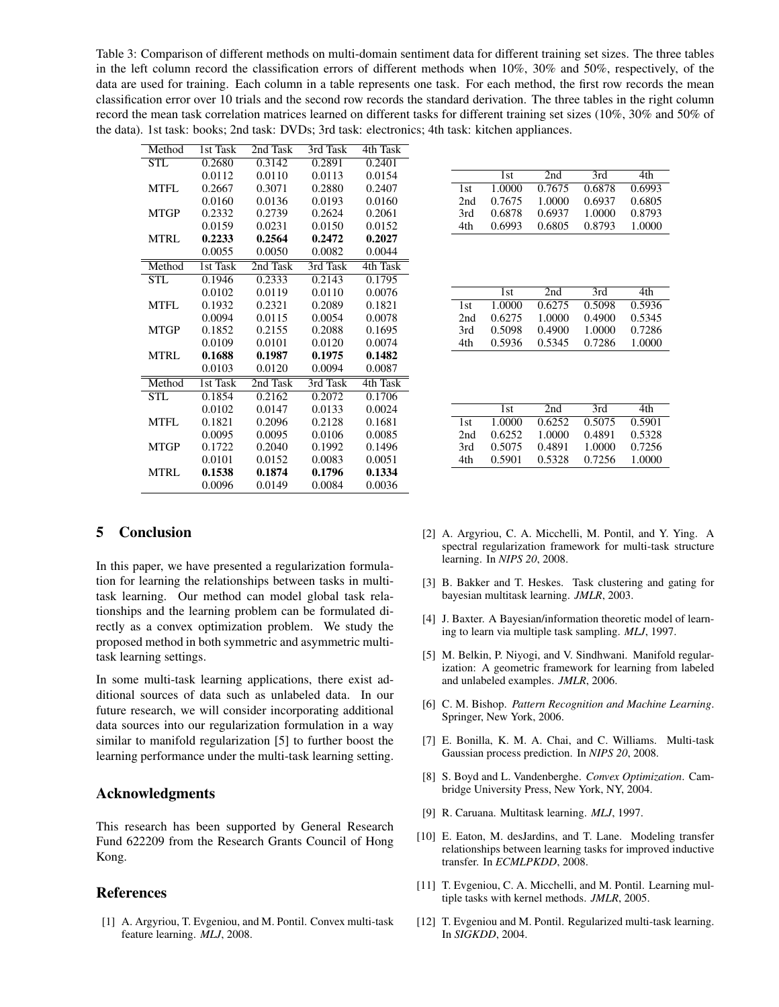Table 3: Comparison of different methods on multi-domain sentiment data for different training set sizes. The three tables in the left column record the classification errors of different methods when 10%, 30% and 50%, respectively, of the data are used for training. Each column in a table represents one task. For each method, the first row records the mean classification error over 10 trials and the second row records the standard derivation. The three tables in the right column record the mean task correlation matrices learned on different tasks for different training set sizes (10%, 30% and 50% of the data). 1st task: books; 2nd task: DVDs; 3rd task: electronics; 4th task: kitchen appliances.

| Method                  | 1st Task | 2nd Task | 3rd Task | 4th Task |
|-------------------------|----------|----------|----------|----------|
| $\overline{\text{STL}}$ | 0.2680   | 0.3142   | 0.2891   | 0.2401   |
|                         | 0.0112   | 0.0110   | 0.0113   | 0.0154   |
| MTFL                    | 0.2667   | 0.3071   | 0.2880   | 0.2407   |
|                         | 0.0160   | 0.0136   | 0.0193   | 0.0160   |
| <b>MTGP</b>             | 0.2332   | 0.2739   | 0.2624   | 0.2061   |
|                         | 0.0159   | 0.0231   | 0.0150   | 0.0152   |
| MTRL                    | 0.2233   | 0.2564   | 0.2472   | 0.2027   |
|                         | 0.0055   | 0.0050   | 0.0082   | 0.0044   |
| Method                  | 1st Task | 2nd Task | 3rd Task | 4th Task |
| $\overline{\text{STL}}$ | 0.1946   | 0.2333   | 0.2143   | 0.1795   |
|                         | 0.0102   | 0.0119   | 0.0110   | 0.0076   |
| <b>MTFL</b>             | 0.1932   | 0.2321   | 0.2089   | 0.1821   |
|                         | 0.0094   | 0.0115   | 0.0054   | 0.0078   |
| <b>MTGP</b>             | 0.1852   | 0.2155   | 0.2088   | 0.1695   |
|                         | 0.0109   | 0.0101   | 0.0120   | 0.0074   |
| MTRL                    | 0.1688   | 0.1987   | 0.1975   | 0.1482   |
|                         | 0.0103   | 0.0120   | 0.0094   | 0.0087   |
| Method                  | 1st Task | 2nd Task | 3rd Task | 4th Task |
| <b>STL</b>              | 0.1854   | 0.2162   | 0.2072   | 0.1706   |
|                         | 0.0102   | 0.0147   | 0.0133   | 0.0024   |
| MTFL                    | 0.1821   | 0.2096   | 0.2128   | 0.1681   |
|                         | 0.0095   | 0.0095   | 0.0106   | 0.0085   |
| <b>MTGP</b>             | 0.1722   | 0.2040   | 0.1992   | 0.1496   |
|                         | 0.0101   | 0.0152   | 0.0083   | 0.0051   |
| <b>MTRL</b>             | 0.1538   | 0.1874   | 0.1796   | 0.1334   |
|                         | 0.0096   | 0.0149   | 0.0084   | 0.0036   |

|     | 1st    | 2nd    | 3rd    | 4th.   |
|-----|--------|--------|--------|--------|
| 1st | 1.0000 | 0.7675 | 0.6878 | 0.6993 |
| 2nd | 0.7675 | 1.0000 | 0.6937 | 0.6805 |
| 3rd | 0.6878 | 0.6937 | 1.0000 | 0.8793 |
| 4th | 0.6993 | 0.6805 | 0.8793 | 1.0000 |

|      | 1st    | 2nd    | 3rd    | 4th.   |
|------|--------|--------|--------|--------|
| 1st. | 1.0000 | 0.6275 | 0.5098 | 0.5936 |
| 2nd  | 0.6275 | 1.0000 | 0.4900 | 0.5345 |
| 3rd  | 0.5098 | 0.4900 | 1.0000 | 0.7286 |
| 4th  | 0.5936 | 0.5345 | 0.7286 | 1.0000 |

|     | 1st    | 2nd    | 3rd    | 4th.   |
|-----|--------|--------|--------|--------|
| 1st | 1.0000 | 0.6252 | 0.5075 | 0.5901 |
| 2nd | 0.6252 | 1.0000 | 0.4891 | 0.5328 |
| 3rd | 0.5075 | 0.4891 | 1.0000 | 0.7256 |
| 4th | 0.5901 | 0.5328 | 0.7256 | 1.0000 |

# 5 Conclusion

In this paper, we have presented a regularization formulation for learning the relationships between tasks in multitask learning. Our method can model global task relationships and the learning problem can be formulated directly as a convex optimization problem. We study the proposed method in both symmetric and asymmetric multitask learning settings.

In some multi-task learning applications, there exist additional sources of data such as unlabeled data. In our future research, we will consider incorporating additional data sources into our regularization formulation in a way similar to manifold regularization [5] to further boost the learning performance under the multi-task learning setting.

# Acknowledgments

This research has been supported by General Research Fund 622209 from the Research Grants Council of Hong Kong.

## References

[1] A. Argyriou, T. Evgeniou, and M. Pontil. Convex multi-task feature learning. *MLJ*, 2008.

- [2] A. Argyriou, C. A. Micchelli, M. Pontil, and Y. Ying. A spectral regularization framework for multi-task structure learning. In *NIPS 20*, 2008.
- [3] B. Bakker and T. Heskes. Task clustering and gating for bayesian multitask learning. *JMLR*, 2003.
- [4] J. Baxter. A Bayesian/information theoretic model of learning to learn via multiple task sampling. *MLJ*, 1997.
- [5] M. Belkin, P. Niyogi, and V. Sindhwani. Manifold regularization: A geometric framework for learning from labeled and unlabeled examples. *JMLR*, 2006.
- [6] C. M. Bishop. *Pattern Recognition and Machine Learning*. Springer, New York, 2006.
- [7] E. Bonilla, K. M. A. Chai, and C. Williams. Multi-task Gaussian process prediction. In *NIPS 20*, 2008.
- [8] S. Boyd and L. Vandenberghe. *Convex Optimization*. Cambridge University Press, New York, NY, 2004.
- [9] R. Caruana. Multitask learning. *MLJ*, 1997.
- [10] E. Eaton, M. desJardins, and T. Lane. Modeling transfer relationships between learning tasks for improved inductive transfer. In *ECMLPKDD*, 2008.
- [11] T. Evgeniou, C. A. Micchelli, and M. Pontil. Learning multiple tasks with kernel methods. *JMLR*, 2005.
- [12] T. Evgeniou and M. Pontil. Regularized multi-task learning. In *SIGKDD*, 2004.